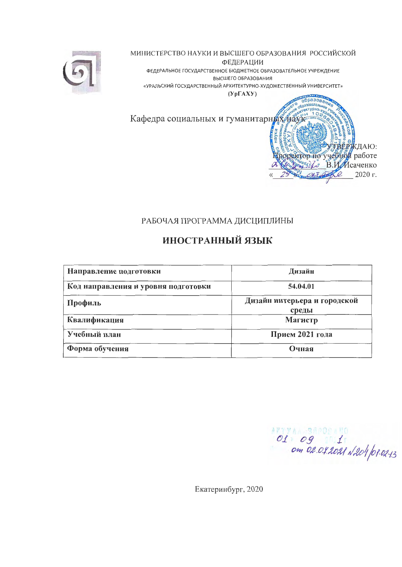

МИНИСТЕРСТВО НАУКИ И ВЫСШЕГО ОБРАЗОВАНИЯ РОССИЙСКОЙ ФЕДЕРАЦИИ ФЕДЕРАЛЬНОЕ ГОСУДАРСТВЕННОЕ БЮДЖЕТНОЕ ОБРАЗОВАТЕЛЬНОЕ УЧРЕЖДЕНИЕ

ВЫСШЕГО ОБРАЗОВАНИЯ «УРАЛЬСКИЙ ГОСУДАРСТВЕННЫЙ АРХИТЕКТУРНО-ХУДОЖЕСТВЕННЫЙ УНИВЕРСИТЕТ»

 $(Yp\Gamma A X Y)$ 

образовани aren

оректор по учебной работе

فيدكم

ТВЕРЖДАЮ:

В.И. Исаченко

2020 г.

Кафедра социальных и гуманитарных наук

# РАБОЧАЯ ПРОГРАММА ДИСЦИПЛИНЫ

# ИНОСТРАННЫЙ ЯЗЫК

| Направление подготовки              | Дизайн                                |
|-------------------------------------|---------------------------------------|
| Код направления и уровня подготовки | 54.04.01                              |
| Профиль                             | Дизайн интерьера и городской<br>среды |
| Квалификация                        | Магистр                               |
| Учебный план                        | Прием 2021 года                       |
| Форма обучения                      | Очная                                 |

O1 09 1 2001 1204 01-02-13

Екатеринбург, 2020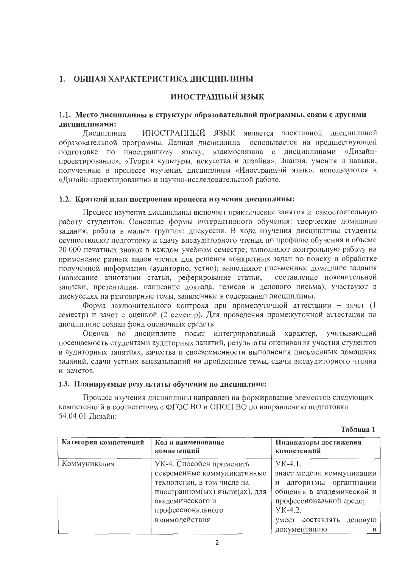# 1. ОБЩАЯ ХАРАКТЕРИСТИКА ДИСЦИПЛИНЫ

#### ИНОСТРАННЫЙ ЯЗЫК

#### 1.1. Место дисциплины в структуре образовательной программы, связи с другими дисциплинами:

ИНОСТРАННЫЙ ЯЗЫК является элективной дисциплиной Лисциплина образовательной программы. Данная дисциплина основывается на предшествующей подготовке по иностранному языку, взаимосвязана с дисциплинами «Дизайнпроектирование», «Теория культуры, искусства и дизайна». Знания, умения и навыки, полученные в процессе изучения дисциплины «Иностранный язык», используются в «Дизайн-проектировании» и научно-исследовательской работе.

#### 1.2. Краткий план построения процесса изучения дисциплины:

Процесс изучения дисциплины включает практические занятия и самостоятельную работу студентов. Основные формы интерактивного обучения: творческие домашние задания; работа в малых группах; дискуссия. В ходе изучения дисциплины студенты осуществляют подготовку и сдачу внеаудиторного чтения по профилю обучения в объеме 20 000 печатных знаков в каждом учебном семестре; выполняют контрольную работу на применение разных видов чтения для решения конкретных задач по поиску и обработке полученной информации (аудиторно, устно); выполняют письменные домашние задания (написание аннотации статьи, реферирование статьи, составление пояснительной записки, презентации, написание доклада, тезисов и делового письма); участвуют в дискуссиях на разговорные темы, заявленные в содержании дисциплины.

Форма заключительного контроля при промежуточной аттестации - зачет (1 семестр) и зачет с оценкой (2 семестр). Для проведения промежуточной аттестации по дисциплине создан фонд оценочных средств.

Оценка по дисциплине носит интегрированный характер, учитывающий посещаемость студентами аудиторных занятий, результаты оценивания участия студентов в аудиторных занятиях, качества и своевременности выполнения письменных домашних заданий, сдачи устных высказываний на пройденные темы, сдачи внеаудиторного чтения и зачетов.

#### 1.3. Планируемые результаты обучения по дисциплине:

Процесс изучения дисциплины направлен на формирование элементов следующих компетенций в соответствии с ФГОС ВО и ОПОП ВО по направлению подготовки 54.04.01 Дизайн:

Таблица 1

| Категория компетенций | Код и наименование<br>компетенций | Индикаторы достижения<br>компетенций |  |  |  |
|-----------------------|-----------------------------------|--------------------------------------|--|--|--|
| Коммуникация          | УК-4. Способен применять          | $YK-4.1$ .                           |  |  |  |
|                       | современные коммуникативные       | знает модели коммуникации            |  |  |  |
|                       | технологии, в том числе на        | и алгоритмы организации              |  |  |  |
|                       | иностранном(ых) языке(ах), для    | общения в академической и            |  |  |  |
|                       | академического и                  | профессиональной среде;              |  |  |  |
|                       | профессионального                 | YK-4.2.                              |  |  |  |
|                       | взаимодействия                    | составлять<br>деловую<br>умеет       |  |  |  |
|                       |                                   | документацию<br>И                    |  |  |  |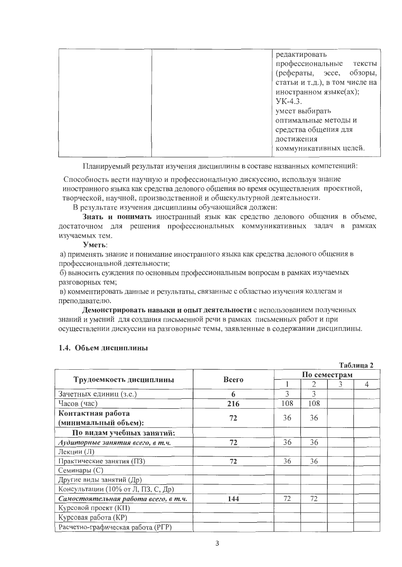|  | редактировать<br>профессиональные<br>тексты<br>(рефераты, эссе, обзоры,<br>статьи и т.д.), в том числе на<br>иностранном языке(ах);<br>$YK-4.3$ .<br>умеет выбирать |
|--|---------------------------------------------------------------------------------------------------------------------------------------------------------------------|
|  | оптимальные методы и<br>средства общения для<br>достижения                                                                                                          |
|  | коммуникативных целей.                                                                                                                                              |

Планируемый результат изучения дисциплины в составе названных компетенций:

Способность вести научную и профессиональную дискуссию, используя знание иностранного языка как средства делового общения во время осуществления проектной, творческой, научной, производственной и общекультурной деятельности.

В результате изучения дисциплины обучающийся должен:

Знать и понимать иностранный язык как средство делового общения в объеме, достаточном для решения профессиональных коммуникативных задач в рамках изучаемых тем.

#### Уметь:

а) применять знание и понимание иностранного языка как средства делового общения в профессиональной деятельности;

б) выносить суждения по основным профессиональным вопросам в рамках изучаемых разговорных тем;

в) комментировать данные и результаты, связанные с областью изучения коллегам и преподавателю.

Демонстрировать навыки и опыт деятельности с использованием полученных знаний и умений для создания письменной речи в рамках письменных работ и при осуществлении дискуссии на разговорные темы, заявленные в содержании дисциплины.

### 1.4. Объем дисциплины

|                                      |              |     |              |  | Таблица 2 |  |  |  |
|--------------------------------------|--------------|-----|--------------|--|-----------|--|--|--|
|                                      | <b>Bcero</b> |     | По семестрам |  |           |  |  |  |
| Трудоемкость дисциплины              |              |     | 2            |  | 4         |  |  |  |
| Зачетных единиц (з.е.)               | 6            | ζ   | 3            |  |           |  |  |  |
| Часов (час)                          | 216          | 108 | 108          |  |           |  |  |  |
| Контактная работа                    | 72           | 36  | 36           |  |           |  |  |  |
| (минимальный объем):                 |              |     |              |  |           |  |  |  |
| По видам учебных занятий:            |              |     |              |  |           |  |  |  |
| Аудиторные занятия всего, в т.ч.     | 72           | 36  | 36           |  |           |  |  |  |
| Лекции (Л)                           |              |     |              |  |           |  |  |  |
| Практические занятия (ПЗ)            | 72           | 36  | 36           |  |           |  |  |  |
| Семинары (С)                         |              |     |              |  |           |  |  |  |
| Другие виды занятий (Др)             |              |     |              |  |           |  |  |  |
| Консультации (10% от Л, ПЗ, С, Др)   |              |     |              |  |           |  |  |  |
| Самостоятельная работа всего, в т.ч. | 144          | 72  | 72           |  |           |  |  |  |
| Курсовой проект (КП)                 |              |     |              |  |           |  |  |  |
| Курсовая работа (КР)                 |              |     |              |  |           |  |  |  |
| Расчетно-графическая работа (РГР)    |              |     |              |  |           |  |  |  |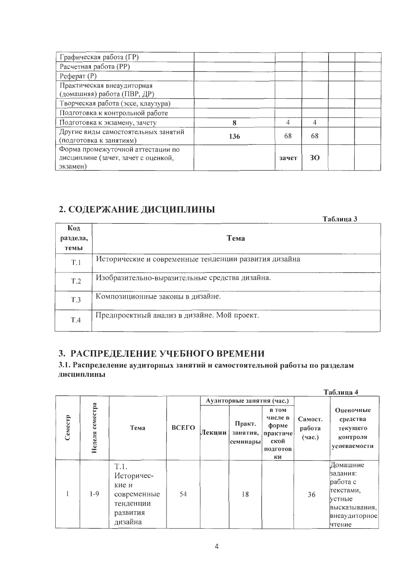| Графическая работа (ГР)             |     |       |           |  |
|-------------------------------------|-----|-------|-----------|--|
| Расчетная работа (РР)               |     |       |           |  |
| $Pe$ ферат $(P)$                    |     |       |           |  |
| Практическая внеаудиторная          |     |       |           |  |
| (домашняя) работа (ПВР, ДР)         |     |       |           |  |
| Творческая работа (эссе, клаузура)  |     |       |           |  |
| Подготовка к контрольной работе     |     |       |           |  |
| Подготовка к экзамену, зачету       | 8   | 4     | 4         |  |
| Другие виды самостоятельных занятий | 136 | 68    | 68        |  |
| (подготовка к занятиям)             |     |       |           |  |
| Форма промежуточной аттестации по   |     |       |           |  |
| дисциплине (зачет, зачет с оценкой, |     | зачет | <b>30</b> |  |
| экзамен)                            |     |       |           |  |

# 2. СОДЕРЖАНИЕ ДИСЦИПЛИНЫ

|                         | Таблица 3                                             |  |
|-------------------------|-------------------------------------------------------|--|
| Код<br>раздела,<br>темы | Тема                                                  |  |
| T.1                     | Исторические и современные тенденции развития дизайна |  |
| T.2                     | Изобразительно-выразительные средства дизайна.        |  |
| T.3                     | Композиционные законы в дизайне.                      |  |
| T.4                     | Предпроектный анализ в дизайне. Мой проект.           |  |

# 3. РАСПРЕДЕЛЕНИЕ УЧЕБНОГО ВРЕМЕНИ

# 3.1. Распределение аудиторных занятий и самостоятельной работы по разделам дисциплины

|         |                    |                                                                                |                 |  |                                |                                                                        |                             | Таблица 4                                                                                           |  |
|---------|--------------------|--------------------------------------------------------------------------------|-----------------|--|--------------------------------|------------------------------------------------------------------------|-----------------------------|-----------------------------------------------------------------------------------------------------|--|
|         |                    |                                                                                |                 |  | Аудиторные занятия (час.)      |                                                                        |                             |                                                                                                     |  |
| Семестр | семестра<br>Неделя | Тема                                                                           | ВСЕГО<br>Лекции |  | Практ.<br>занятия,<br>семинары | <b>B</b> TOM<br>числе в<br>форме<br>практиче<br>ской<br>подготов<br>ки | Самост.<br>работа<br>(4ac.) | Оценочные<br>средства<br>текущего<br>контроля<br>успеваемости                                       |  |
|         | $1-9$              | T.1.<br>Историчес-<br>кие и<br>современные<br>тенденции<br>развития<br>дизайна | 54              |  | 18                             |                                                                        | 36                          | Домашние<br>задания:<br>работа с<br>текстами,<br>устные<br>высказывания,<br>внеаудиторное<br>чтение |  |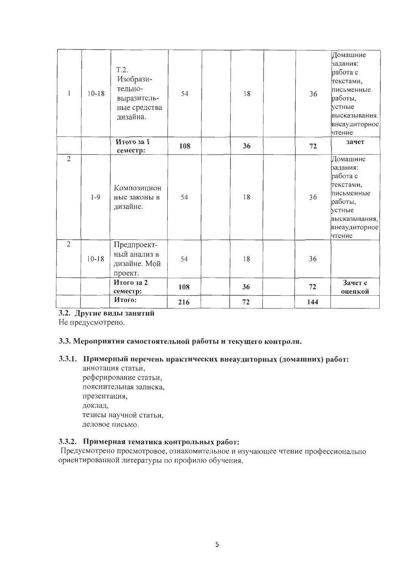|                | $10 - 18$ | T.2.<br>Изобрази-<br>тельно-<br>выразитель-            | 54  | 18 | 36  | Домашние<br>задания:<br>работа с<br>текстами,<br>письменные<br>работы,                                                       |
|----------------|-----------|--------------------------------------------------------|-----|----|-----|------------------------------------------------------------------------------------------------------------------------------|
|                |           | ные средства<br>дизайна.                               |     |    |     | устные<br>высказывания.<br>внеаудиторное<br>чтение                                                                           |
|                |           | Итого за 1<br>семестр:                                 | 108 | 36 | 72  | зачет                                                                                                                        |
| $\overline{2}$ | $1-9$     | Композицион<br>ные законы в<br>дизайне.                | 54  | 18 | 36  | Домашние<br>задания:<br>работа с<br>текстами,<br>письменные<br>работы,<br>метные<br>высказывания,<br>внеаудиторное<br>чтение |
| $\overline{2}$ | $10-18$   | Предпроект-<br>ный анализ в<br>дизайне. Мой<br>проект. | 54  | 18 | 36  |                                                                                                                              |
|                |           | Итого за 2<br>семестр:                                 | 108 | 36 | 72  | Зачет с<br>оценкой                                                                                                           |
|                |           | Итого:                                                 | 216 | 72 | 144 |                                                                                                                              |

# 3.2. Другие виды занятий

Не предусмотрено.

### 3.3. Мероприятия самостоятельной работы и текущего контроля.

# 3.3.1. Примерный перечень практических внеаудиторных (домашних) работ:

аннотация статьи, реферирование статьи, пояснительная записка, презентация, доклад, тезисы научной статьи, деловое письмо.

# 3.3.2. Примерная тематика контрольных работ:

Предусмотрено просмотровое, ознакомительное и изучающее чтение профессионально ориентированной литературы по профилю обучения.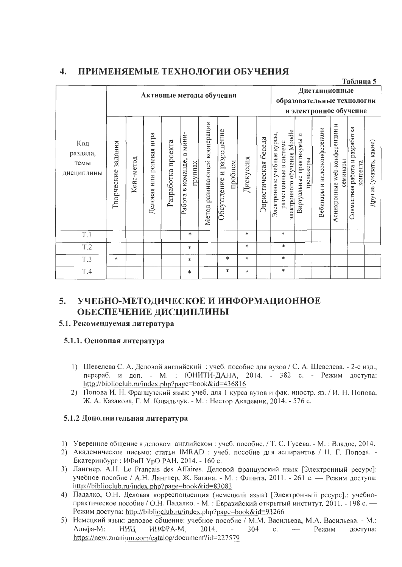#### $\overline{4}$ . ПРИМЕНЯЕМЫЕ ТЕХНОЛОГИИ ОБУЧЕНИЯ

|                                       |                       |            |                          |                    |                                                         |                                 |                                    |           |                         |                                                                                     |                                       |                             |                                              | лаолица Ј                                     |                            |
|---------------------------------------|-----------------------|------------|--------------------------|--------------------|---------------------------------------------------------|---------------------------------|------------------------------------|-----------|-------------------------|-------------------------------------------------------------------------------------|---------------------------------------|-----------------------------|----------------------------------------------|-----------------------------------------------|----------------------------|
|                                       |                       |            |                          |                    |                                                         |                                 | Активные методы обучения           |           |                         | образовательные технологии                                                          |                                       | Дистанционные               |                                              |                                               |                            |
|                                       |                       |            |                          |                    |                                                         |                                 |                                    |           |                         |                                                                                     |                                       | и электронное обучение      |                                              |                                               |                            |
| Код<br>раздела,<br>темы<br>дисциплины | задания<br>Творческие | Кейс-метод | Деловая или ролевая игра | Разработка проекта | мини-<br>∞<br>команде,<br>группах<br>$\infty$<br>Работа | кооперации<br>Метод развивающей | Обсуждение и разрешение<br>проблем | Дискуссия | беседа<br>Эвристическая | электронного обучения Moodle<br>Электронные учебные курсы,<br>размещенные в системе | Зиртуальные практикумы и<br>гренажеры | Вебинары и видеоконференции | И<br>Асинхронные web-конференции<br>семинары | разработка<br>Совместная работа и<br>контента | какие)<br>Другие (указать, |
| T.1                                   |                       |            |                          |                    | *                                                       |                                 |                                    | *         |                         | $\ast$                                                                              |                                       |                             |                                              |                                               |                            |
| T.2                                   |                       |            |                          |                    | *                                                       |                                 |                                    | $\ast$    |                         | $\ast$                                                                              |                                       |                             |                                              |                                               |                            |
| <b>T.3</b>                            | *                     |            |                          |                    | *                                                       |                                 | $\ast$                             | $\ast$    |                         | $\ast$                                                                              |                                       |                             |                                              |                                               |                            |
| <b>T.4</b>                            |                       |            |                          |                    | *                                                       |                                 | *                                  | $\ast$    |                         | $\ast$                                                                              |                                       |                             |                                              |                                               |                            |

 $Ta6$ пина 5

#### $5.$ УЧЕБНО-МЕТОДИЧЕСКОЕ И ИНФОРМАЦИОННОЕ ОБЕСПЕЧЕНИЕ ДИСЦИПЛИНЫ

### 5.1. Рекомендуемая литература

# 5.1.1. Основная литература

- 1) Шевелева С. А. Деловой английский : учеб. пособие для вузов / С. А. Шевелева. 2-е изд., перераб. и доп. - М. : ЮНИТИ-ДАНА, 2014. - 382 с. - Режим доступа: http://biblioclub.ru/index.php?page=book&id=436816
- 2) Попова И. Н. Французский язык: учеб. для 1 курса вузов и фак. иностр. яз. / И. Н. Попова, Ж. А. Казакова, Г. М. Ковальчук. - М. : Нестор Академик, 2014. - 576 с.

# 5.1.2 Дополнительная литература

- 1) Уверенное общение в деловом английском: учеб. пособие. / Т. С. Гусева. М.: Владос, 2014.
- 2) Академическое письмо: статьи IMRAD: учеб. пособие для аспирантов / Н. Г. Попова. -Екатеринбург : ИФиП УрО РАН, 2014. - 160 с.
- 3) Лангнер, А.Н. Le Français des Affaires. Деловой французский язык [Электронный ресурс]: учебное пособие / А.Н. Лангнер, Ж. Багана. - М. : Флинта, 2011. - 261 с. — Режим доступа: http://biblioclub.ru/index.php?page=book&id=83083
- 4) Падалко, О.Н. Деловая корреспонденция (немецкий язык) [Электронный ресурс].: учебнопрактическое пособие / О.Н. Падалко. - М.: Евразийский открытый институт, 2011. - 198 с. -Режим доступа: http://biblioclub.ru/index.php?page=book&id=93266
- 5) Немецкий язык: деловое общение: учебное пособие / М.М. Васильева, М.А. Васильева. М.: Альфа-М: НИЦ ИНФРА-М. 2014. 304 Режим  $\mathbf{c}$ . доступа: https://new.znanium.com/catalog/document?id=227579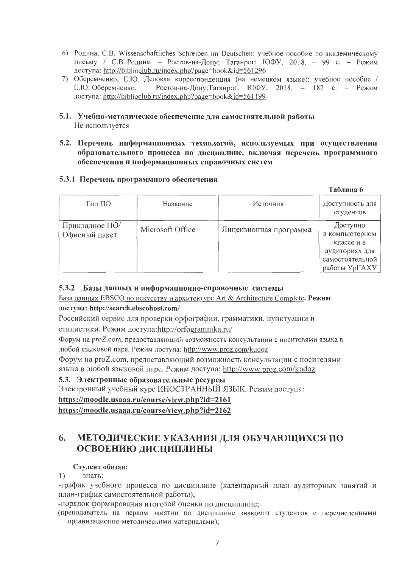- 6) Родина, С.В. Wissenschaftliches Schreiben im Deutschen: учебное пособие по академическому письму / С.В. Родина. - Ростов-на-Дону; Таганрог: ЮФУ, 2018. - 99 с. - Режим доступа: http://biblioclub.ru/index.php?page=book&id=561296
- 7) Оберемченко, Е.Ю. Деловая корреспонденция (на немецком языке): учебное пособие / Е.Ю. Оберемченко. - Ростов-на-Дону; Таганрог: ЮФУ, 2018. - 182 с. - Режим доступа: http://biblioclub.ru/index.php?page=book&id=561199
- 5.1. Учебно-методическое обеспечение для самостоятельной работы Не используется
- 5.2. Перечень информационных технологий, используемых при осуществлении образовательного процесса по дисциплине, включая перечень программного обеспечения и информационных справочных систем

#### 5.3.1 Перечень программного обеспечения

|                                 |                  |                        | Таблица 6                                                                                      |
|---------------------------------|------------------|------------------------|------------------------------------------------------------------------------------------------|
| Тил ПО                          | Название         | Источник               | Доступность для<br>студентов                                                                   |
| Прикладное ПО/<br>Офисный пакет | Microsoft Office | Лицензионная программа | Доступно<br>в компьютерном<br>классе и в<br>аудиториях для<br>самостоятельной<br>работы УрГАХУ |

#### 5.3.2 Базы данных и информационно-справочные системы

База данных EBSCO по искусству и архитектуре Art & Architecture Complete. Режим доступа: http://search.ebscohost.com/

Российский сервис для проверки орфографии, грамматики, пунктуации и стилистики. Режим доступа:http://orfogrammka.ru/

Форум на proZ.com, предоставляющий возможность консультации с носителями языка в любой языковой паре. Режим доступа: http://www.proz.com/kudoz

Форум на proZ.com, предоставляющий возможность консультации с носителями языка в любой языковой паре. Режим доступа: http://www.proz.com/kudoz

### 5.3. Электронные образовательные ресурсы

Электронный учебный курс ИНОСТРАННЫЙ ЯЗЫК. Режим доступа:

https://moodle.usaaa.ru/course/view.php?id=2161

https://moodle.usaaa.ru/course/view.php?id=2162

#### 6. МЕТОДИЧЕСКИЕ УКАЗАНИЯ ДЛЯ ОБУЧАЮЩИХСЯ ПО ОСВОЕНИЮ ДИСЦИПЛИНЫ

### Студент обязан:

 $1)$ знать:

-график учебного процесса по дисциплине (календарный план аудиторных занятий и план-график самостоятельной работы);

-порядок формирования итоговой оценки по дисциплине;

(преподаватель на первом занятии по дисциплине знакомит студентов с перечисленными организационно-методическими материалами);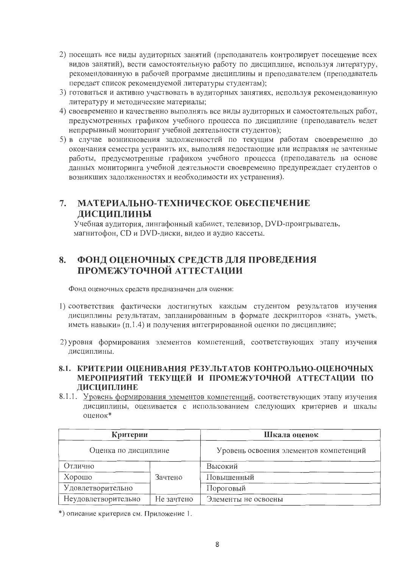- 2) посещать все виды аудиторных занятий (преподаватель контролирует посещение всех видов занятий), вести самостоятельную работу по дисциплине, используя литературу, рекомендованную в рабочей программе дисциплины и преподавателем (преподаватель передает список рекомендуемой литературы студентам);
- 3) готовиться и активно участвовать в аудиторных занятиях, используя рекомендованную литературу и методические материалы;
- 4) своевременно и качественно выполнять все виды аудиторных и самостоятельных работ, предусмотренных графиком учебного процесса по дисциплине (преподаватель ведет непрерывный мониторинг учебной деятельности студентов);
- 5) в случае возникновения задолженностей по текущим работам своевременно до окончания семестра устранить их, выполняя недостающие или исправляя не зачтенные работы, предусмотренные графиком учебного процесса (преподаватель на основе данных мониторинга учебной деятельности своевременно предупреждает студентов о возникших задолженностях и необходимости их устранения).

# 7. МАТЕРИАЛЬНО-ТЕХНИЧЕСКОЕ ОБЕСПЕЧЕНИЕ ДИСЦИПЛИНЫ

Учебная аудитория, лингафонный кабинет, телевизор, DVD-проигрыватель, магнитофон, CD и DVD-диски, видео и аудио кассеты.

#### ФОНД ОЦЕНОЧНЫХ СРЕДСТВ ДЛЯ ПРОВЕДЕНИЯ 8. ПРОМЕЖУТОЧНОЙ АТТЕСТАЦИИ

Фонд оценочных средств предназначен для оценки:

- 1) соответствия фактически достигнутых каждым студентом результатов изучения дисциплины результатам, запланированным в формате дескрипторов «знать, уметь, иметь навыки» (п.1.4) и получения интегрированной оценки по дисциплине;
- 2) уровня формирования элементов компетенций, соответствующих этапу изучения дисциплины.
- 8.1. КРИТЕРИИ ОЦЕНИВАНИЯ РЕЗУЛЬТАТОВ КОНТРОЛЬНО-ОЦЕНОЧНЫХ МЕРОПРИЯТИЙ ТЕКУЩЕЙ И ПРОМЕЖУТОЧНОЙ АТТЕСТАЦИИ ПО ДИСЦИПЛИНЕ
- 8.1.1. Уровень формирования элементов компетенций, соответствующих этапу изучения дисциплины, оценивается с использованием следующих критериев и шкалы оценок\*

| Критерии             |            | Шкала оценок                           |
|----------------------|------------|----------------------------------------|
| Оценка по дисциплине |            | Уровень освоения элементов компетенций |
| Отлично              |            | Высокий                                |
| Хорошо               | Зачтено    | Повышенный                             |
| Удовлетворительно    |            | Пороговый                              |
| Неудовлетворительно  | Не зачтено | Элементы не освоены                    |

\*) описание критериев см. Приложение 1.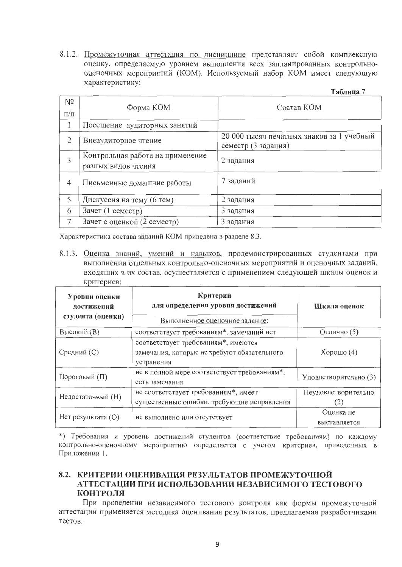8.1.2. Промежуточная аттестация по дисциплине представляет собой комплексную оценку, определяемую уровнем выполнения всех запланированных контрольнооценочных мероприятий (КОМ). Используемый набор КОМ имеет следующую характеристику:

| -аолина |  |
|---------|--|
|---------|--|

| Nº<br>$\Pi/\Pi$ | Форма КОМ                                               | Состав КОМ                                                       |
|-----------------|---------------------------------------------------------|------------------------------------------------------------------|
|                 | Посещение аудиторных занятий                            |                                                                  |
| $\overline{2}$  | Внеаудиторное чтение                                    | 20 000 тысяч печатных знаков за 1 учебный<br>семестр (3 задания) |
| 3               | Контрольная работа на применение<br>разных видов чтения | 2 задания                                                        |
| 4               | Письменные домашние работы                              | 7 заданий                                                        |
| 5               | Дискуссия на тему (6 тем)                               | 2 задания                                                        |
| 6               | Зачет (1 семестр)                                       | 3 задания                                                        |
| 7               | Зачет с оценкой (2 семестр)                             | 3 задания                                                        |

Характеристика состава заданий КОМ приведена в разделе 8.3.

8.1.3. Оценка знаний, умений и навыков, продемонстрированных студентами при выполнении отдельных контрольно-оценочных мероприятий и оценочных заданий, входящих в их состав, осуществляется с применением следующей шкалы оценок и критериев:

| Уровни оценки<br>достижений<br>студента (оценки) | Критерии<br>для определения уровня достижений<br>Выполненное оценочное задание:                  | Шкала оценок              |  |
|--------------------------------------------------|--------------------------------------------------------------------------------------------------|---------------------------|--|
| Высокий (В)                                      | соответствует требованиям*, замечаний нет                                                        | Отлично (5)               |  |
| Средний (С)                                      | соответствует требованиям*, имеются<br>замечания, которые не требуют обязательного<br>устранения | $X$ орошо $(4)$           |  |
| Пороговый (П)                                    | не в полной мере соответствует требованиям*,<br>есть замечания                                   | Удовлетворительно (3)     |  |
| Недостаточный (Н)                                | не соответствует требованиям*, имеет                                                             | Неудовлетворительно       |  |
|                                                  | существенные ошибки, требующие исправления                                                       | (2)                       |  |
| Нет результата (O)                               | не выполнено или отсутствует                                                                     | Оценка не<br>выставляется |  |

\*) Требования и уровень достижений студентов (соответствие требованиям) по каждому контрольно-оценочному мероприятию определяется с учетом критериев, приведенных в Приложении 1.

#### 8.2. КРИТЕРИИ ОЦЕНИВАНИЯ РЕЗУЛЬТАТОВ ПРОМЕЖУТОЧНОЙ АТТЕСТАЦИИ ПРИ ИСПОЛЬЗОВАНИИ НЕЗАВИСИМОГО ТЕСТОВОГО **КОНТРОЛЯ**

При проведении независимого тестового контроля как формы промежуточной аттестации применяется методика оценивания результатов, предлагаемая разработчиками тестов.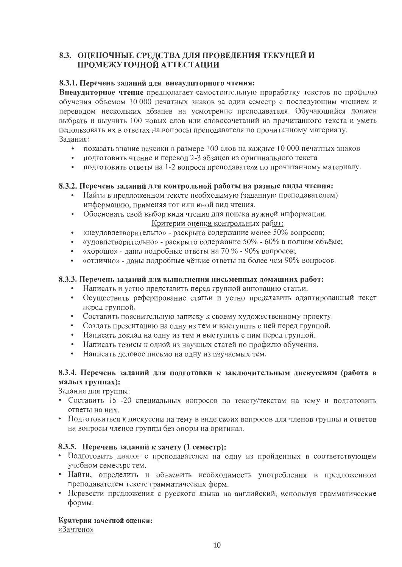# 8.3. ОЦЕНОЧНЫЕ СРЕДСТВА ДЛЯ ПРОВЕДЕНИЯ ТЕКУЩЕЙ И ПРОМЕЖУТОЧНОЙ АТТЕСТАЦИИ

#### 8.3.1. Перечень заданий для внеаудиторного чтения:

Внеаудиторное чтение предполагает самостоятельную проработку текстов по профилю обучения объемом 10 000 печатных знаков за один семестр с последующим чтением и переводом нескольких абзацев на усмотрение преподавателя. Обучающийся должен выбрать и выучить 100 новых слов или словосочетаний из прочитанного текста и уметь использовать их в ответах на вопросы преподавателя по прочитанному материалу. Задания:

- показать знание лексики в размере 100 слов на каждые 10 000 печатных знаков
- подготовить чтение и перевод 2-3 абзацев из оригинального текста
- подготовить ответы на 1-2 вопроса преподавателя по прочитанному материалу.

# 8.3.2. Перечень заданий для контрольной работы на разные виды чтения:

- Найти в предложенном тексте необходимую (заданную преподавателем) информацию, применяя тот или иной вид чтения.
- Обосновать свой выбор вида чтения для поиска нужной информации.  $\bullet$  . Критерии оценки контрольных работ:
- «неудовлетворительно» раскрыто содержание менее 50% вопросов;
- «удовлетворительно» раскрыто содержание 50% 60% в полном объёме;
- «хорошо» даны подробные ответы на 70 % 90% вопросов;
- «отлично» даны подробные чёткие ответы на более чем 90% вопросов.  $\bullet$  .

#### 8.3.3. Перечень заданий для выполнения письменных домашних работ:

- Написать и устно представить перед группой аннотацию статьи.
- Осуществить реферирование статьи и устно представить адаптированный текст перед группой.
- Составить пояснительную записку к своему художественному проекту.
- Создать презентацию на одну из тем и выступить с ней перед группой.
- Написать доклад на одну из тем и выступить с ним перед группой.
- Написать тезисы к одной из научных статей по профилю обучения.
- Написать деловое письмо на одну из изучаемых тем.

### 8.3.4. Перечень заданий для подготовки к заключительным дискуссиям (работа в малых группах):

Задания для группы:

- Составить 15 -20 специальных вопросов по тексту/текстам на тему и подготовить ответы на них.
- Подготовиться к дискуссии на тему в виде своих вопросов для членов группы и ответов на вопросы членов группы без опоры на оригинал.

### 8.3.5. Перечень заданий к зачету (1 семестр):

- Подготовить диалог с преподавателем на одну из пройденных в соответствующем учебном семестре тем.
- Найти, определить и объяснить необходимость употребления в предложенном преподавателем тексте грамматических форм.
- Перевести предложения с русского языка на английский, используя грамматические формы.

Критерии зачетной оценки:

«Зачтено»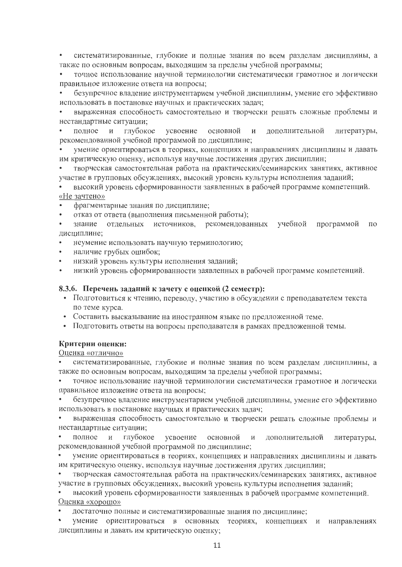• систематизированные, глубокие и полные знания по всем разделам дисциплины, а также по основным вопросам, выходящим за пределы учебной программы;

точное использование научной терминологии систематически грамотное и логически  $\bullet$ правильное изложение ответа на вопросы;

безупречное владение инструментарием учебной дисциплины, умение его эффективно использовать в постановке научных и практических задач;

выраженная способность самостоятельно и творчески решать сложные проблемы и нестандартные ситуации;

литературы, полное и глубокое усвоение основной И дополнительной  $\bullet$ рекомендованной учебной программой по дисциплине;

умение ориентироваться в теориях, концепциях и направлениях дисциплины и давать им критическую оценку, используя научные достижения других дисциплин;

творческая самостоятельная работа на практических/семинарских занятиях, активное участие в групповых обсуждениях, высокий уровень культуры исполнения заданий;

высокий уровень сформированности заявленных в рабочей программе компетенций. «Не зачтено»

фрагментарные знания по дисциплине;

отказ от ответа (выполнения письменной работы);  $\bullet$ 

учебной программой знание отдельных источников, рекомендованных  $\Pi$ O дисциплине:

- неумение использовать научную терминологию;
- наличие грубых ошибок;
- низкий уровень культуры исполнения заданий;
- низкий уровень сформированности заявленных в рабочей программе компетенций.

#### 8.3.6. Перечень заданий к зачету с оценкой (2 семестр):

- Подготовиться к чтению, переводу, участию в обсуждении с преподавателем текста по теме курса.
- Составить высказывание на иностранном языке по предложенной теме.
- Подготовить ответы на вопросы преподавателя в рамках предложенной темы.

#### Критерии оценки:

#### Оценка «отлично»

систематизированные, глубокие и полные знания по всем разделам дисциплины, а также по основным вопросам, выходящим за пределы учебной программы;

точное использование научной терминологии систематически грамотное и логически правильное изложение ответа на вопросы;

 $\bullet$ безупречное владение инструментарием учебной дисциплины, умение его эффективно использовать в постановке научных и практических задач;

выраженная способность самостоятельно и творчески решать сложные проблемы и нестандартные ситуации;

 $\bullet$ полное и глубокое усвоение основной И дополнительной литературы, рекомендованной учебной программой по дисциплине;

умение ориентироваться в теориях, концепциях и направлениях дисциплины и давать им критическую оценку, используя научные достижения других дисциплин;

творческая самостоятельная работа на практических/семинарских занятиях, активное участие в групповых обсуждениях, высокий уровень культуры исполнения заданий;

высокий уровень сформированности заявленных в рабочей программе компетенций. Оценка «хорошо»

достаточно полные и систематизированные знания по дисциплине;

 $\bullet$ умение ориентироваться в основных теориях, концепциях и направлениях дисциплины и давать им критическую оценку;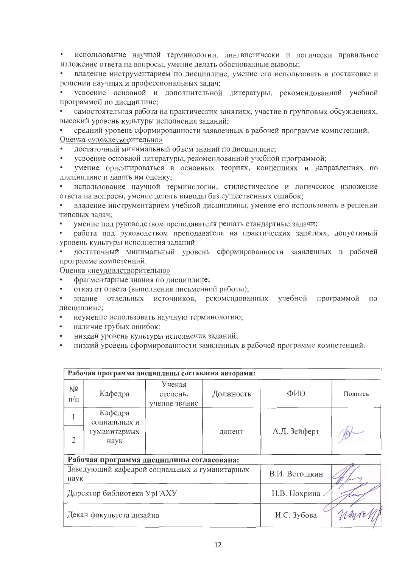использование научной терминологии, лингвистически и логически правильное  $\bullet$  . изложение ответа на вопросы, умение делать обоснованные выводы;

владение инструментарием по дисциплине, умение его использовать в постановке и  $\bullet$ решении научных и профессиональных задач;

усвоение основной и дополнительной литературы, рекомендованной учебной программой по дисциплине:

самостоятельная работа на практических занятиях, участие в групповых обсуждениях, высокий уровень культуры исполнения заданий;

средний уровень сформированности заявленных в рабочей программе компетенций. Оценка «удовлетворительно»

достаточный минимальный объем знаний по дисциплине;

усвоение основной литературы, рекомендованной учебной программой;

умение ориентироваться в основных теориях, концепциях и направлениях по дисциплине и давать им оценку;

использование научной терминологии, стилистическое и логическое изложение  $\bullet$ ответа на вопросы, умение делать выводы без существенных ошибок;

владение инструментарием учебной дисциплины, умение его использовать в решении типовых задач;

умение под руководством преподавателя решать стандартные задачи;

работа под руководством преподавателя на практических занятиях, допустимый уровень культуры исполнения заданий

достаточный минимальный уровень сформированности заявленных в рабочей программе компетенций.

Оценка «неудовлетворительно»

- фрагментарные знания по дисциплине;
- отказ от ответа (выполнения письменной работы);
- знание отдельных источников, рекомендованных учебной программой по дисциплине;
- неумение использовать научную терминологию;
- наличие грубых ошибок;
- низкий уровень культуры исполнения заданий;  $\bullet$
- низкий уровень сформированности заявленных в рабочей программе компетенций.

| Рабочая программа дисциплины составлена авторами:     |                         |                                     |           |                          |         |  |  |
|-------------------------------------------------------|-------------------------|-------------------------------------|-----------|--------------------------|---------|--|--|
| Nº<br>$\Pi/\Pi$                                       | Кафедра                 | Ученая<br>степень,<br>ученое звание | Должность | ФИО                      | Подпись |  |  |
|                                                       | Кафедра<br>социальных и |                                     |           |                          |         |  |  |
| $\overline{2}$                                        | гуманитарных<br>наук    |                                     | доцент    | А.Д. Зейферт             |         |  |  |
| Рабочая программа дисциплины согласована:             |                         |                                     |           |                          |         |  |  |
| Заведующий кафедрой социальных и гуманитарных<br>наук |                         |                                     |           | В.И. Ветошкин            |         |  |  |
| Директор библиотеки УрГАХУ                            |                         |                                     |           | Н.В. Нохрина<br>$\alpha$ |         |  |  |
| Декан факультета дизайна                              |                         |                                     |           | И.С. Зубова              |         |  |  |